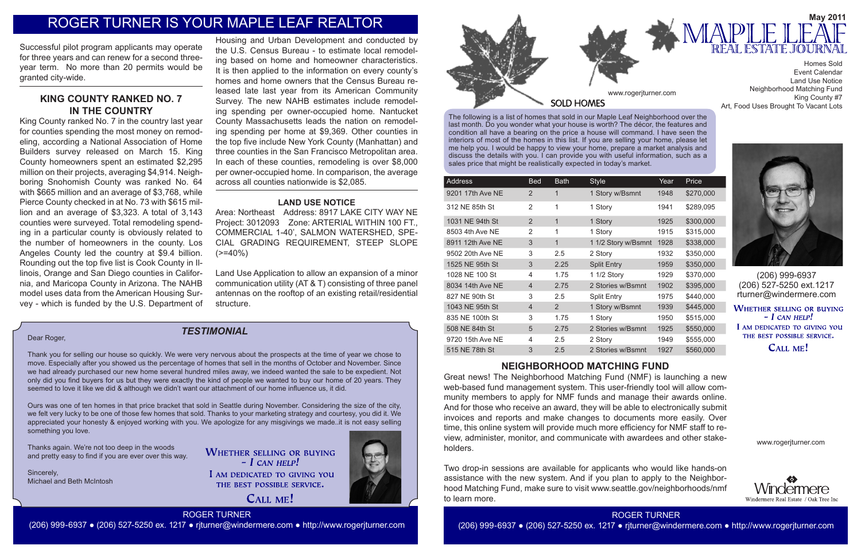The following is a list of homes that sold in our Maple Leaf Neighborhood over the last month. Do you wonder what your house is worth? The décor, the features and condition all have a bearing on the price a house will command. I have seen the interiors of most of the homes in this list. If you are selling your home, please let me help you. I would be happy to view your home, prepare a market analysis and discuss the details with you. I can provide you with useful information, such as a sales price that might be realistically expected in today's market.

| Address          | <b>Bed</b>     | <b>Bath</b> | <b>Style</b>        | Year | Price     |
|------------------|----------------|-------------|---------------------|------|-----------|
| 9201 17th Ave NE | $\mathcal{P}$  | 1           | 1 Story w/Bsmnt     | 1948 | \$270,000 |
| 312 NE 85th St   | 2              | 1           | 1 Story             | 1941 | \$289,095 |
| 1031 NE 94th St  | 2              | 1           | 1 Story             | 1925 | \$300,000 |
| 8503 4th Ave NE  | 2              | 1           | 1 Story             | 1915 | \$315,000 |
| 8911 12th Ave NE | 3              | 1           | 1 1/2 Story w/Bsmnt | 1928 | \$338,000 |
| 9502 20th Ave NE | 3              | 2.5         | 2 Story             | 1932 | \$350,000 |
| 1525 NE 95th St  | 3              | 2.25        | <b>Split Entry</b>  | 1959 | \$350,000 |
| 1028 NE 100 St   | 4              | 1.75        | 1 1/2 Story         | 1929 | \$370,000 |
| 8034 14th Ave NE | $\overline{4}$ | 2.75        | 2 Stories w/Bsmnt   | 1902 | \$395,000 |
| 827 NE 90th St   | 3              | 2.5         | <b>Split Entry</b>  | 1975 | \$440,000 |
| 1043 NE 95th St  | $\overline{4}$ | 2           | 1 Story w/Bsmnt     | 1939 | \$445,000 |
| 835 NE 100th St  | 3              | 1.75        | 1 Story             | 1950 | \$515,000 |
| 508 NE 84th St   | $\overline{5}$ | 2.75        | 2 Stories w/Bsmnt   | 1925 | \$550,000 |
| 9720 15th Ave NE | 4              | 2.5         | 2 Story             | 1949 | \$555,000 |
| 515 NE 78th St   | 3              | 2.5         | 2 Stories w/Bsmnt   | 1927 | \$560,000 |
|                  |                |             |                     |      |           |





(206) 999-6937 (206) 527-5250 ext.1217 rturner@windermere.com

**WHETHER SELLING OR BUYING**  $- I$  CAN HELP! I AM DEDICATED TO GIVING YOU THE BEST POSSIBLE SERVICE.

# CALL ME!

# *TESTIMONIAL*

www.rogerjturner.com



www.rogerjturner.com

# ROGER TURNER

(206) 999-6937 ● (206) 527-5250 ex. 1217 ● rjturner@windermere.com ● http://www.rogerjturner.com

Event Calendar Land Use Notice Neighborhood Matching Fund King County #7 Art, Food Uses Brought To Vacant Lots

#### Dear Roger,

Thank you for selling our house so quickly. We were very nervous about the prospects at the time of year we chose to move. Especially after you showed us the percentage of homes that sell in the months of October and November. Since we had already purchased our new home several hundred miles away, we indeed wanted the sale to be expedient. Not only did you find buyers for us but they were exactly the kind of people we wanted to buy our home of 20 years. They seemed to love it like we did & although we didn't want our attachment of our home influence us, it did.

Ours was one of ten homes in that price bracket that sold in Seattle during November. Considering the size of the city, we felt very lucky to be one of those few homes that sold. Thanks to your marketing strategy and courtesy, you did it. We appreciated your honesty & enjoyed working with you. We apologize for any misgivings we made..it is not easy selling something you love.

Area: Northeast Address: 8917 LAKE CITY WAY NE Project: 3012093 Zone: ARTERIAL WITHIN 100 FT., COMMERCIAL 1-40', SALMON WATERSHED, SPE-CIAL GRADING REQUIREMENT, STEEP SLOPE  $(>=40\%)$ 

Thanks again. We're not too deep in the woods and pretty easy to find if you are ever over this way.

Sincerely, Michael and Beth McIntosh **WHETHER SELLING OR BUYING**  $-$  *L* CAN HELP! I AM DEDICATED TO GIVING YOU THE BEST POSSIBLE SERVICE.

CALL ME!





# ROGER TURNER IS YOUR MAPLE LEAF REALTOR

# **NEIGHBORHOOD MATCHING FUND**

Great news! The Neighborhood Matching Fund (NMF) is launching a new web-based fund management system. This user-friendly tool will allow community members to apply for NMF funds and manage their awards online. And for those who receive an award, they will be able to electronically submit invoices and reports and make changes to documents more easily. Over time, this online system will provide much more efficiency for NMF staff to review, administer, monitor, and communicate with awardees and other stakeholders.

Two drop-in sessions are available for applicants who would like hands-on assistance with the new system. And if you plan to apply to the Neighborhood Matching Fund, make sure to visit www.seattle.gov/neighborhoods/nmf to learn more.

Successful pilot program applicants may operate for three years and can renew for a second threeyear term. No more than 20 permits would be granted city-wide.

# **KING COUNTY RANKED NO. 7 IN THE COUNTRY**

King County ranked No. 7 in the country last year for counties spending the most money on remodeling, according a National Association of Home Builders survey released on March 15. King County homeowners spent an estimated \$2,295 million on their projects, averaging \$4,914. Neighboring Snohomish County was ranked No. 64 with \$665 million and an average of \$3,768, while Pierce County checked in at No. 73 with \$615 million and an average of \$3,323. A total of 3,143 counties were surveyed. Total remodeling spending in a particular county is obviously related to the number of homeowners in the county. Los Angeles County led the country at \$9.4 billion. Rounding out the top five list is Cook County in Illinois, Orange and San Diego counties in California, and Maricopa County in Arizona. The NAHB model uses data from the American Housing Survey - which is funded by the U.S. Department of

Housing and Urban Development and conducted by the U.S. Census Bureau - to estimate local remodeling based on home and homeowner characteristics. It is then applied to the information on every county's homes and home owners that the Census Bureau released late last year from its American Community Survey. The new NAHB estimates include remodeling spending per owner-occupied home. Nantucket County Massachusetts leads the nation on remodeling spending per home at \$9,369. Other counties in the top five include New York County (Manhattan) and three counties in the San Francisco Metropolitan area. In each of these counties, remodeling is over \$8,000 per owner-occupied home. In comparison, the average across all counties nationwide is \$2,085.

### **LAND USE NOTICE**

Land Use Application to allow an expansion of a minor communication utility (AT & T) consisting of three panel antennas on the rooftop of an existing retail/residential structure.